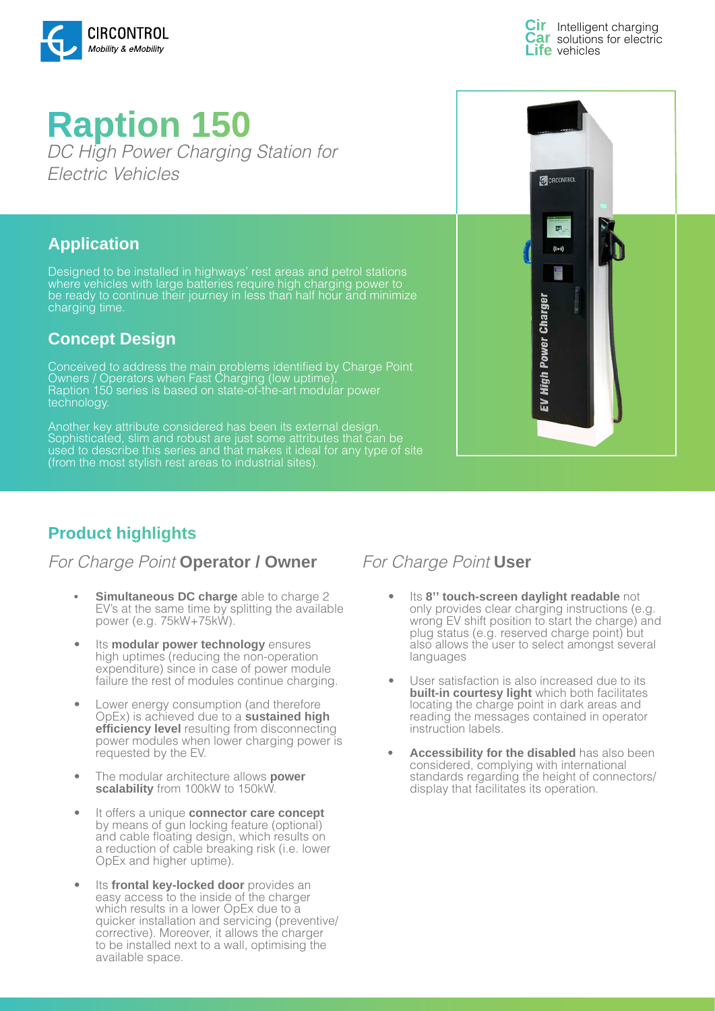

Intelligent charging solutions for electric **Life** vehicles

# **Raption 150**  *DC High Power Charging Station for Electric Vehicles*

### **Application**

Designed to be installed in highways' rest areas and petrol stations where vehicles with large batteries require high charging power to be ready to continue their journey in less than half hour and minimize charging time.

### **Concept Design**

Conceived to address the main problems identified by Charge Point Owners / Operators when Fast Charging (low uptime), Raption 150 series is based on state-of-the-art modular power technology.

Another key attribute considered has been its external design. Sophisticated, slim and robust are just some attributes that can be used to describe this series and that makes it ideal for any type of site (from the most stylish rest areas to industrial sites).

# **Product highlights**

### *For Charge Point* **Operator / Owner** *For Charge Point* **User**

- **• Simultaneous DC charge** able to charge 2 EV's at the same time by splitting the available power (e.g. 75kW+75kW).
- Its **modular power technology** ensures high uptimes (reducing the non-operation expenditure) since in case of power module failure the rest of modules continue charging.
- Lower energy consumption (and therefore OpEx) is achieved due to a **sustained high efficiency level** resulting from disconnecting power modules when lower charging power is requested by the EV.
- The modular architecture allows **power scalability** from 100kW to 150kW.
- It offers a unique **connector care concept**  by means of gun locking feature (optional) and cable floating design, which results on a reduction of cable breaking risk (i.e. lower OpEx and higher uptime).
- Its **frontal key-locked door** provides an easy access to the inside of the charger which results in a lower OpEx due to a quicker installation and servicing (preventive/ corrective). Moreover, it allows the charger to be installed next to a wall, optimising the available space.



- Its **8'' touch-screen daylight readable** not only provides clear charging instructions (e.g. wrong EV shift position to start the charge) and plug status (e.g. reserved charge point) but also allows the user to select amongst several languages
- User satisfaction is also increased due to its **built-in courtesy light** which both facilitates locating the charge point in dark areas and reading the messages contained in operator instruction labels.
- **• Accessibility for the disabled** has also been considered, complying with international standards regarding the height of connectors/ display that facilitates its operation.